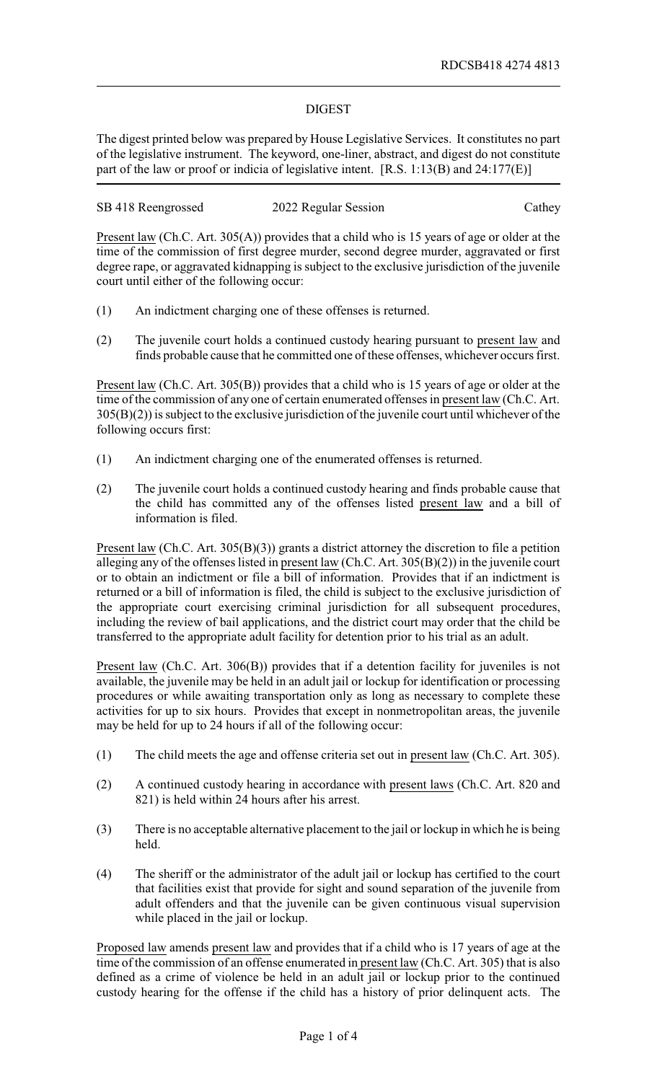## DIGEST

The digest printed below was prepared by House Legislative Services. It constitutes no part of the legislative instrument. The keyword, one-liner, abstract, and digest do not constitute part of the law or proof or indicia of legislative intent. [R.S. 1:13(B) and 24:177(E)]

| SB 418 Reengrossed | 2022 Regular Session | Cathey |
|--------------------|----------------------|--------|
|                    |                      |        |

Present law (Ch.C. Art. 305(A)) provides that a child who is 15 years of age or older at the time of the commission of first degree murder, second degree murder, aggravated or first degree rape, or aggravated kidnapping is subject to the exclusive jurisdiction of the juvenile court until either of the following occur:

- (1) An indictment charging one of these offenses is returned.
- (2) The juvenile court holds a continued custody hearing pursuant to present law and finds probable cause that he committed one of these offenses, whichever occurs first.

Present law (Ch.C. Art. 305(B)) provides that a child who is 15 years of age or older at the time of the commission of any one of certain enumerated offenses in present law (Ch.C. Art. 305(B)(2)) is subject to the exclusive jurisdiction of the juvenile court until whichever of the following occurs first:

- (1) An indictment charging one of the enumerated offenses is returned.
- (2) The juvenile court holds a continued custody hearing and finds probable cause that the child has committed any of the offenses listed present law and a bill of information is filed.

Present law (Ch.C. Art. 305(B)(3)) grants a district attorney the discretion to file a petition alleging any of the offenses listed in present law (Ch.C. Art. 305(B)(2)) in the juvenile court or to obtain an indictment or file a bill of information. Provides that if an indictment is returned or a bill of information is filed, the child is subject to the exclusive jurisdiction of the appropriate court exercising criminal jurisdiction for all subsequent procedures, including the review of bail applications, and the district court may order that the child be transferred to the appropriate adult facility for detention prior to his trial as an adult.

Present law (Ch.C. Art. 306(B)) provides that if a detention facility for juveniles is not available, the juvenile may be held in an adult jail or lockup for identification or processing procedures or while awaiting transportation only as long as necessary to complete these activities for up to six hours. Provides that except in nonmetropolitan areas, the juvenile may be held for up to 24 hours if all of the following occur:

- (1) The child meets the age and offense criteria set out in present law (Ch.C. Art. 305).
- (2) A continued custody hearing in accordance with present laws (Ch.C. Art. 820 and 821) is held within 24 hours after his arrest.
- (3) There is no acceptable alternative placement to the jail or lockup in which he is being held.
- (4) The sheriff or the administrator of the adult jail or lockup has certified to the court that facilities exist that provide for sight and sound separation of the juvenile from adult offenders and that the juvenile can be given continuous visual supervision while placed in the jail or lockup.

Proposed law amends present law and provides that if a child who is 17 years of age at the time of the commission of an offense enumerated in present law (Ch.C. Art. 305) that is also defined as a crime of violence be held in an adult jail or lockup prior to the continued custody hearing for the offense if the child has a history of prior delinquent acts. The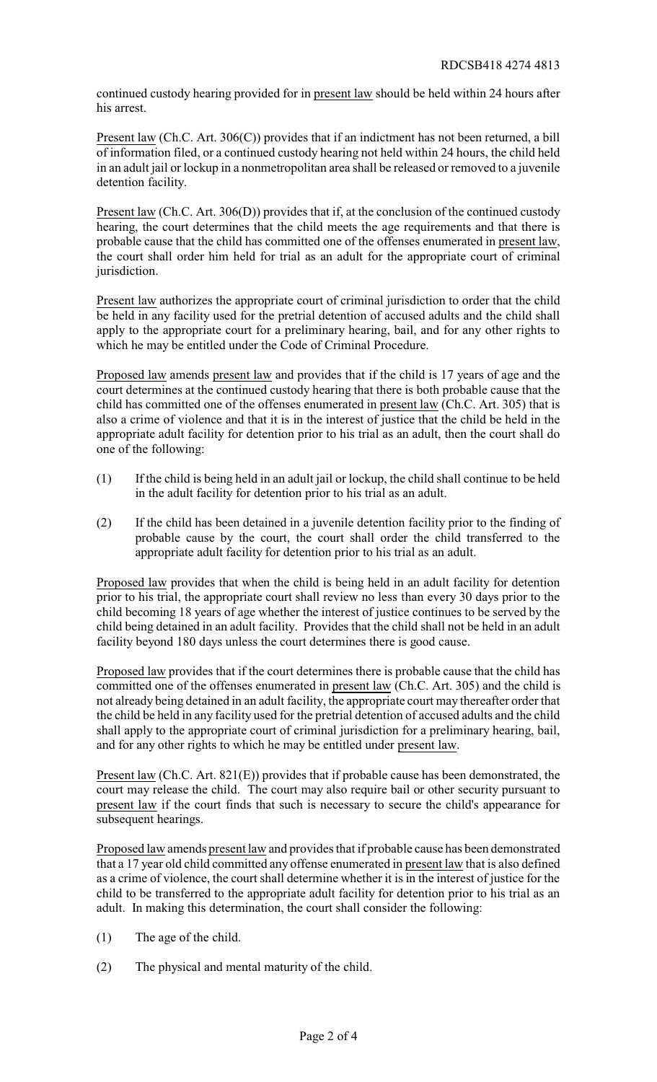continued custody hearing provided for in present law should be held within 24 hours after his arrest.

Present law (Ch.C. Art. 306(C)) provides that if an indictment has not been returned, a bill of information filed, or a continued custody hearing not held within 24 hours, the child held in an adult jail or lockup in a nonmetropolitan area shall be released or removed to a juvenile detention facility.

Present law (Ch.C. Art. 306(D)) provides that if, at the conclusion of the continued custody hearing, the court determines that the child meets the age requirements and that there is probable cause that the child has committed one of the offenses enumerated in present law, the court shall order him held for trial as an adult for the appropriate court of criminal jurisdiction.

Present law authorizes the appropriate court of criminal jurisdiction to order that the child be held in any facility used for the pretrial detention of accused adults and the child shall apply to the appropriate court for a preliminary hearing, bail, and for any other rights to which he may be entitled under the Code of Criminal Procedure.

Proposed law amends present law and provides that if the child is 17 years of age and the court determines at the continued custody hearing that there is both probable cause that the child has committed one of the offenses enumerated in present law (Ch.C. Art. 305) that is also a crime of violence and that it is in the interest of justice that the child be held in the appropriate adult facility for detention prior to his trial as an adult, then the court shall do one of the following:

- (1) If the child is being held in an adult jail or lockup, the child shall continue to be held in the adult facility for detention prior to his trial as an adult.
- (2) If the child has been detained in a juvenile detention facility prior to the finding of probable cause by the court, the court shall order the child transferred to the appropriate adult facility for detention prior to his trial as an adult.

Proposed law provides that when the child is being held in an adult facility for detention prior to his trial, the appropriate court shall review no less than every 30 days prior to the child becoming 18 years of age whether the interest of justice continues to be served by the child being detained in an adult facility. Provides that the child shall not be held in an adult facility beyond 180 days unless the court determines there is good cause.

Proposed law provides that if the court determines there is probable cause that the child has committed one of the offenses enumerated in present law (Ch.C. Art. 305) and the child is not already being detained in an adult facility, the appropriate court may thereafter order that the child be held in any facility used for the pretrial detention of accused adults and the child shall apply to the appropriate court of criminal jurisdiction for a preliminary hearing, bail, and for any other rights to which he may be entitled under present law.

Present law (Ch.C. Art. 821(E)) provides that if probable cause has been demonstrated, the court may release the child. The court may also require bail or other security pursuant to present law if the court finds that such is necessary to secure the child's appearance for subsequent hearings.

Proposed law amends present law and provides that if probable cause has been demonstrated that a 17 year old child committed any offense enumerated in present law that is also defined as a crime of violence, the court shall determine whether it is in the interest of justice for the child to be transferred to the appropriate adult facility for detention prior to his trial as an adult. In making this determination, the court shall consider the following:

- (1) The age of the child.
- (2) The physical and mental maturity of the child.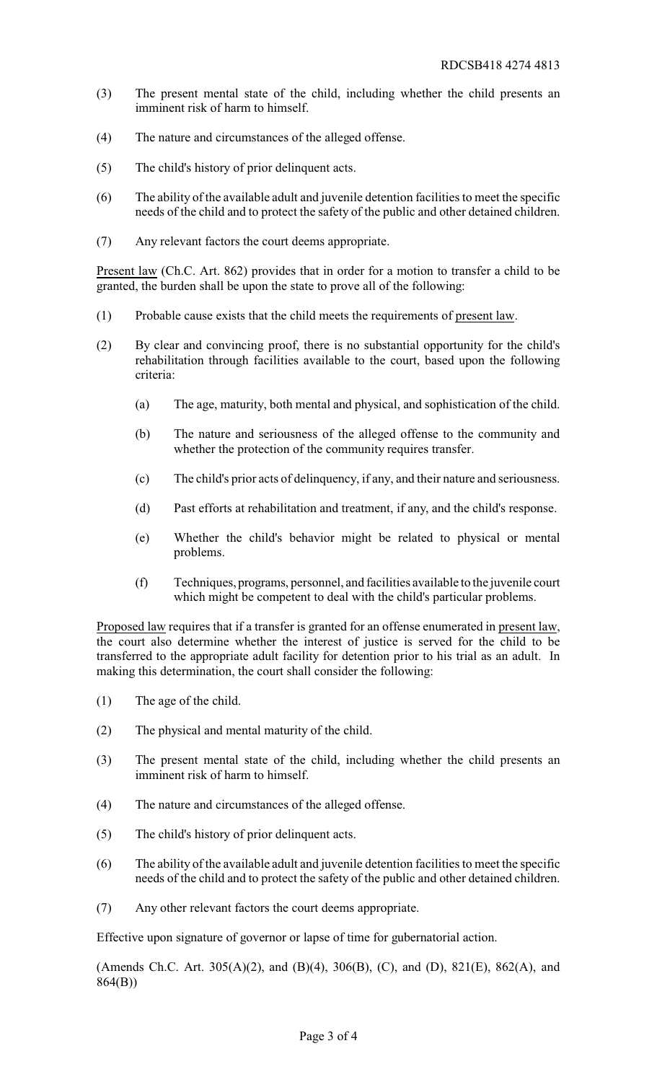- (3) The present mental state of the child, including whether the child presents an imminent risk of harm to himself.
- (4) The nature and circumstances of the alleged offense.
- (5) The child's history of prior delinquent acts.
- (6) The ability of the available adult and juvenile detention facilities to meet the specific needs of the child and to protect the safety of the public and other detained children.
- (7) Any relevant factors the court deems appropriate.

Present law (Ch.C. Art. 862) provides that in order for a motion to transfer a child to be granted, the burden shall be upon the state to prove all of the following:

- (1) Probable cause exists that the child meets the requirements of present law.
- (2) By clear and convincing proof, there is no substantial opportunity for the child's rehabilitation through facilities available to the court, based upon the following criteria:
	- (a) The age, maturity, both mental and physical, and sophistication of the child.
	- (b) The nature and seriousness of the alleged offense to the community and whether the protection of the community requires transfer.
	- (c) The child's prior acts of delinquency, if any, and their nature and seriousness.
	- (d) Past efforts at rehabilitation and treatment, if any, and the child's response.
	- (e) Whether the child's behavior might be related to physical or mental problems.
	- (f) Techniques, programs, personnel, and facilities available to the juvenile court which might be competent to deal with the child's particular problems.

Proposed law requires that if a transfer is granted for an offense enumerated in present law, the court also determine whether the interest of justice is served for the child to be transferred to the appropriate adult facility for detention prior to his trial as an adult. In making this determination, the court shall consider the following:

- (1) The age of the child.
- (2) The physical and mental maturity of the child.
- (3) The present mental state of the child, including whether the child presents an imminent risk of harm to himself.
- (4) The nature and circumstances of the alleged offense.
- (5) The child's history of prior delinquent acts.
- (6) The ability of the available adult and juvenile detention facilities to meet the specific needs of the child and to protect the safety of the public and other detained children.
- (7) Any other relevant factors the court deems appropriate.

Effective upon signature of governor or lapse of time for gubernatorial action.

(Amends Ch.C. Art. 305(A)(2), and (B)(4), 306(B), (C), and (D), 821(E), 862(A), and 864(B))